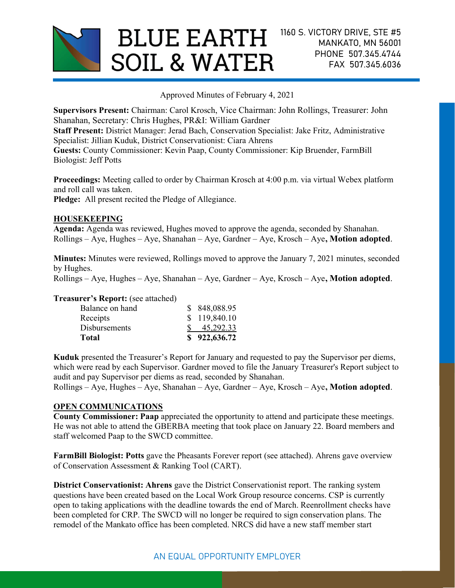

Approved Minutes of February 4, 2021

Supervisors Present: Chairman: Carol Krosch, Vice Chairman: John Rollings, Treasurer: John Shanahan, Secretary: Chris Hughes, PR&I: William Gardner

Staff Present: District Manager: Jerad Bach, Conservation Specialist: Jake Fritz, Administrative Specialist: Jillian Kuduk, District Conservationist: Ciara Ahrens

Guests: County Commissioner: Kevin Paap, County Commissioner: Kip Bruender, FarmBill Biologist: Jeff Potts

Proceedings: Meeting called to order by Chairman Krosch at 4:00 p.m. via virtual Webex platform and roll call was taken.

Pledge: All present recited the Pledge of Allegiance.

## HOUSEKEEPING

Agenda: Agenda was reviewed, Hughes moved to approve the agenda, seconded by Shanahan. Rollings – Aye, Hughes – Aye, Shanahan – Aye, Gardner – Aye, Krosch – Aye, Motion adopted.

Minutes: Minutes were reviewed, Rollings moved to approve the January 7, 2021 minutes, seconded by Hughes.

 $Rollings - Ave, Hughes - Ave, Shannon - Ave, Garden - Aye, Kar (Arodner - Ave, Krosch - Ave, Motion adopted.$ 

### Treasurer's Report: (see attached)

| Total                | \$922,636.72 |
|----------------------|--------------|
| <b>Disbursements</b> | 45,292.33    |
| Receipts             | \$119,840.10 |
| Balance on hand      | \$848,088.95 |

Kuduk presented the Treasurer's Report for January and requested to pay the Supervisor per diems, which were read by each Supervisor. Gardner moved to file the January Treasurer's Report subject to audit and pay Supervisor per diems as read, seconded by Shanahan.

Rollings – Aye, Hughes – Aye, Shanahan – Aye, Gardner – Aye, Krosch – Aye, Motion adopted.

# OPEN COMMUNICATIONS

County Commissioner: Paap appreciated the opportunity to attend and participate these meetings. He was not able to attend the GBERBA meeting that took place on January 22. Board members and staff welcomed Paap to the SWCD committee.

FarmBill Biologist: Potts gave the Pheasants Forever report (see attached). Ahrens gave overview of Conservation Assessment & Ranking Tool (CART).

District Conservationist: Ahrens gave the District Conservationist report. The ranking system questions have been created based on the Local Work Group resource concerns. CSP is currently open to taking applications with the deadline towards the end of March. Reenrollment checks have been completed for CRP. The SWCD will no longer be required to sign conservation plans. The remodel of the Mankato office has been completed. NRCS did have a new staff member start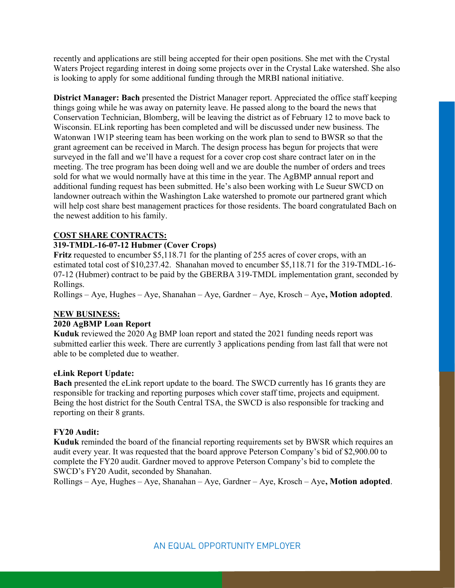recently and applications are still being accepted for their open positions. She met with the Crystal Waters Project regarding interest in doing some projects over in the Crystal Lake watershed. She also is looking to apply for some additional funding through the MRBI national initiative.

District Manager: Bach presented the District Manager report. Appreciated the office staff keeping things going while he was away on paternity leave. He passed along to the board the news that Conservation Technician, Blomberg, will be leaving the district as of February 12 to move back to Wisconsin. ELink reporting has been completed and will be discussed under new business. The Watonwan 1W1P steering team has been working on the work plan to send to BWSR so that the grant agreement can be received in March. The design process has begun for projects that were surveyed in the fall and we'll have a request for a cover crop cost share contract later on in the meeting. The tree program has been doing well and we are double the number of orders and trees sold for what we would normally have at this time in the year. The AgBMP annual report and additional funding request has been submitted. He's also been working with Le Sueur SWCD on landowner outreach within the Washington Lake watershed to promote our partnered grant which will help cost share best management practices for those residents. The board congratulated Bach on the newest addition to his family.

# COST SHARE CONTRACTS:

### 319-TMDL-16-07-12 Hubmer (Cover Crops)

Fritz requested to encumber \$5,118.71 for the planting of 255 acres of cover crops, with an estimated total cost of \$10,237.42. Shanahan moved to encumber \$5,118.71 for the 319-TMDL-16- 07-12 (Hubmer) contract to be paid by the GBERBA 319-TMDL implementation grant, seconded by Rollings.

 $Rollings - Aye$ , Hughes – Aye, Shanahan – Aye, Gardner – Aye, Krosch – Aye, **Motion adopted**.

### NEW BUSINESS:

## 2020 AgBMP Loan Report

Kuduk reviewed the 2020 Ag BMP loan report and stated the 2021 funding needs report was submitted earlier this week. There are currently 3 applications pending from last fall that were not able to be completed due to weather.

### eLink Report Update:

Bach presented the eLink report update to the board. The SWCD currently has 16 grants they are responsible for tracking and reporting purposes which cover staff time, projects and equipment. Being the host district for the South Central TSA, the SWCD is also responsible for tracking and reporting on their 8 grants.

### FY20 Audit:

Kuduk reminded the board of the financial reporting requirements set by BWSR which requires an audit every year. It was requested that the board approve Peterson Company's bid of \$2,900.00 to complete the FY20 audit. Gardner moved to approve Peterson Company's bid to complete the SWCD's FY20 Audit, seconded by Shanahan.

 $Rollings - Aye$ , Hughes – Aye, Shanahan – Aye, Gardner – Aye, Krosch – Aye, **Motion adopted**.